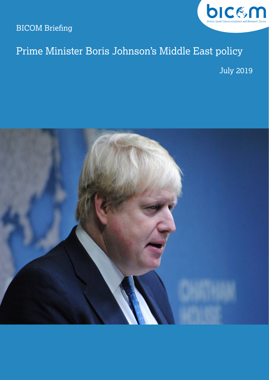BICOM Briefing



## Prime Minister Boris Johnson's Middle East policy

July 2019

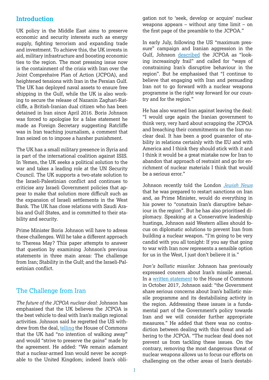#### **Introduction**

UK policy in the Middle East aims to preserve economic and security interests such as energy supply, fighting terrorism and expanding trade and investment. To achieve this, the UK invests in aid, military infrastructure and boosting economic ties to the region. The most pressing issue now is the containment of the crisis with Iran over the Joint Comprehsive Plan of Action (JCPOA), and heightened tensions with Iran in the Persian Gulf. The UK has deployed naval assets to ensure free shipping in the Gulf, while the UK is also working to secure the release of Nazanin Zaghari-Ratcliffe, a British-Iranian dual citizen who has been detained in Iran since April 2016. Boris Johnson was forced to apologise for a false statement he made as Foreign Secretary suggesting Ratcliffe was in Iran teaching journalism, a comment that Iran seized on to impose a harsher punishment.

The UK has a small military presence in Syria and is part of the international coalition against ISIS. In Yemen, the UK seeks a political solution to the war and takes a leading role at the UN Security Council. The UK supports a two-state solution to the Israeli-Palestinian conflict and continues to criticise any Israeli Government policies that appear to make that solution more difficult such as the expansion of Israeli settlements in the West Bank. The UK has close relations with Saudi Arabia and Gulf States, and is committed to their stability and security.

Prime Minister Boris Johnson will have to adress these challenges. Will he take a different approach to Theresa May? This paper attempts to answer that question by examining Johnson's previous statements in three main areas: The challenge from Iran; Stability in the Gulf; and the Israeli-Palestinian conflict.

#### The Challenge from Iran

*The future of the JCPOA nuclear deal*: Johnson has emphasised that the UK believes the JCPOA is the best vehicle to deal with Iran's malign regional activities. Johnson said he regretted the US withdrew from the deal, [telling](https://www.gov.uk/government/speeches/foreign-secretary-statement-on-the-iran-nuclear-dealhttps:/www.bbc.co.uk/news/uk-politics-44044946) the House of Commons that the UK had "no intention of walking away" and would "strive to preserve the gains" made by the agreement. He added: "We remain adamant that a nuclear-armed Iran would never be acceptable to the United Kingdom; indeed Iran's obligation not to 'seek, develop or acquire' nuclear weapons appears – without any time limit – on the first page of the preamble to the JCPOA."

In early July, following the US "maximum pressure" campaign and Iranian aggression in the Gulf, Johnson [described](https://uk.reuters.com/article/uk-britain-eu-leader-quotes-highlights/boris-johnson-on-hong-kong-huawei-iran-and-brexit-idUKKCN1TY1GY) the JCPOA as "looking increasingly frail" and called for "ways of constraining Iran's disruptive behaviour in the region". But he emphasised that "I continue to believe that engaging with Iran and persuading Iran not to go forward with a nuclear weapons programme is the right way forward for our country and for the region."

He has also warned Iran against leaving the deal: "I would urge again the Iranian government to think very, very hard about scrapping the JCPOA and breaching their commitments on the Iran nuclear deal. It has been a good guarantor of stability in relations certainly with the EU and with America and I think they should stick with it and I think it would be a great mistake now for Iran to abandon that approach of restraint and go for enrichment of nuclear materials I think that would be a serious error."

Johnson recently told the London *[Jewish News](https://jewishnews.timesofisrael.com/boris-johnson-im-prepared-for-sanctions-over-irans-nuclear-madness/)* that he was prepared to restart sanctions on Iran and, as Prime Minister, would do everything in his power to "constrain Iran's disruptive behaviour in the region". But he has also prioritised diplomacy. Speaking at a Conservative leadership hustings, Johnson said Western allies should focus on diplomatic solutions to prevent Iran from building a nuclear weapon. "I'm going to be very candid with you all tonight: If you say that going to war with Iran now represents a sensible option for us in the West, I just don't believe it is."

*Iran's ballistic missiles*: Johnson has previously expressed concern about Iran's missile arsenal. In a [written statement](https://hansard.parliament.uk/Commons/2017-10-16/debates/1710168000011/JointComprehensivePlanOfAction(IranNuclearDeal)#contribution-1F29DF20-EFFB-4152-A0CE-447E41AACD3F) to the House of Commons in October 2017, Johnson said: "the Government share serious concerns about Iran's ballistic missile programme and its destabilising activity in the region. Addressing these issues is a fundamental part of the Government's policy towards Iran and we will consider further appropriate measures." He added that there was no contradiction between dealing with this threat and adhering to the JCPOA. "The nuclear deal does not prevent us from tackling these issues. On the contrary, removing the most dangerous threat of nuclear weapons allows us to focus our efforts on challenging on the other areas of Iran's destabi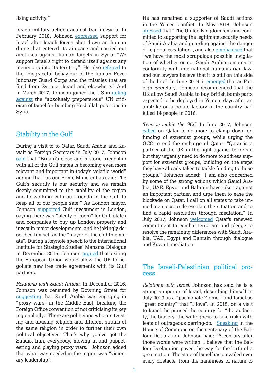lising activity."

Israeli military actions against Iran in Syria: In February 2018, Johnson [expressed](https://www.timesofisrael.com/uk-backs-israeli-actions-in-syria-urges-russia-to-rein-in-iran/) support for Israel after Israeli forces shot down an Iranian drone that entered its airspace and carried out airstrikes against Iranian targets in Syria: "We support Israel's right to defend itself against any incursions into its territory". He also [referred](https://hansard.parliament.uk/Commons/2018-05-15/debates/ACD204DD-3A8D-4155-A39C-46F6275B82AE/CommonsChamber) to the "disgraceful behaviour of the Iranian Revolutionary Guard Corps and the missiles that are fired from Syria at Israel and elsewhere." And in March 2017, Johnson joined the US in [railing](https://www.timesofisrael.com/un-rapping-israel-for-bombing-hezbollah-preposterous-top-uk-diplomat-says/)  [against](https://www.timesofisrael.com/un-rapping-israel-for-bombing-hezbollah-preposterous-top-uk-diplomat-says/) the "absolutely preposterous" UN criticism of Israel for bombing Hezbollah positions in Syria.

### Stability in the Gulf

During a visit to to Qatar, Saudi Arabia and Kuwait as Foreign Secretary in July 2017, Johnson [said](https://www.gov.uk/government/news/foreign-secretary-visits-the-gulf-to-discuss-regional-tensions) that "Britain's close and historic friendship with all of the Gulf states is becoming even more relevant and important in today's volatile world" adding that "as our Prime Minister has said: The Gulf's security is our security and we remain deeply committed to the stability of the region and to working with our friends in the Gulf to keep all of our people safe." As London mayor, Johnson [supported](https://www.arabianbusiness.com/boris-johnson-expects-more-gulf-investments-in-london-498461.html) Gulf investment in London, saying there was "plenty of room" for Gulf states and companies to buy up London property and invest in major developments, and he jokingly described himself as the "mayor of the eighth emirate". During a keynote speech to the International Institute for Strategic Studies' Manama Dialogue in December 2016, Johnson [argued](https://www.dlapiper.com/en/uk/insights/publications/2016/12/a-new-chapter-for-uk-gulf-trade/) that exiting the European Union would allow the UK to negotiate new free trade agreements with its Gulf partners.

*Relations with Saudi Arabia*: In December 2016, Johnson was censured by Downing Street for [suggesting](https://www.bbc.co.uk/news/uk-politics-38248316) that Saudi Arabia was engaging in "proxy wars" in the Middle East, breaking the Foreign Office convention of not criticising its key regional ally: 'There are politicians who are twisting and abusing religion and different strains of the same religion in order to further their own political objectives. That's why you've got the Saudis, Iran, everybody, moving in and puppeteering and playing proxy wars." Johnson added that what was needed in the region was "visionary leadership".

He has remained a supporter of Saudi actions in the Yemen conflict. In May 2018, Johnson [stressed](https://www.theyworkforyou.com/wms/?id=2018-05-23.HCWS716.h&s=saudi+arabia+speaker%3A10999#gHCWS716.0) that "The United Kingdom remains committed to supporting the legitimate security needs of Saudi Arabia and guarding against the danger of regional escalation", and also [emphasised](https://hansard.parliament.uk/Commons/2018-06-26/debates/85589040-58BD-4E3C-A76D-53C11665AF13/TopicalQuestions) that "we have the most scrupulous possible invigilation of whether or not Saudi Arabia remains in conformity with international humanitarian law, and our lawyers believe that it is still on this side of the line". In June 2019, it [emerged](https://www.theguardian.com/politics/2019/jun/11/johnson-allowed-arms-sales-to-saudis-after-strike-on-food-factory) that as Foreign Secretary, Johnson recommended that the UK allow Saudi Arabia to buy British bomb parts expected to be deployed in Yemen, days after an airstrike on a potato factory in the country had killed 14 people in 2016.

*Tension within the GCC*: In June 2017, Johnson [called](https://www.theguardian.com/world/2017/jun/12/qatar-al-thani-boris-johnson-saudi-arabia-bahrain-uae-egypt-embargo) on Qatar to do more to clamp down on funding of extremist groups, while urging the GCC to end the embargo of Qatar: "Qatar is a partner of the UK in the fight against terrorism but they urgently need to do more to address support for extremist groups, building on the steps they have already taken to tackle funding to those groups." Johnson added: "I am also concerned by some of the strong actions which Saudi Arabia, UAE, Egypt and Bahrain have taken against an important partner, and urge them to ease the blockade on Qatar. I call on all states to take immediate steps to de-escalate the situation and to find a rapid resolution through mediation." In July 2017, Johnson [welcomed](https://www.gov.uk/government/news/foreign-secretary-welcomes-qatars-commitment-to-combat-terrorism) Qatar's renewed commitment to combat terrorism and pledge to resolve the remaining differences with Saudi Arabia, UAE, Egypt and Bahrain through dialogue and Kuwaiti mediation.

# The Israeli-Palestinian political pro- cess

*Relations with Israel:* Johnson has said he is a strong supporter of Israel, describing himself in July 2019 as a "passionate Zionist" and Israel as "great country" that "I love". In 2015, on a visit to Israel, he praised the country for "the audacity, the bravery, the willingness to take risks with feats of outrageous derring-do." [Speaking](https://hansard.parliament.uk/Commons/2017-10-30/debates/CB36ACC3-D2D7-441A-836B-736B8C869A13/CommonsChamber#contribution-13D0AFDC-5ED6-4B6F-8F59-265BC0FDC500) in the House of Commons on the centenary of the Balfour Declaration, Johnson said: "A century after those words were written, I believe that the Balfour Declaration paved the way for the birth of a great nation. The state of Israel has prevailed over every obstacle, from the harshness of nature to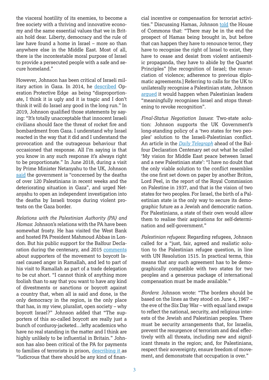the visceral hostility of its enemies, to become a free society with a thriving and innovative economy and the same essential values that we in Britain hold dear. Liberty, democracy and the rule of law have found a home in Israel – more so than anywhere else in the Middle East. Most of all, there is the incontestable moral purpose of Israel to provide a persecuted people with a safe and secure homeland."

However, Johnson has been critical of Israeli military action in Gaza. In 2014, he [described](https://jewishnews.timesofisrael.com/cabinet-turmoil-warsi-quits-gaza-row/) Operation Protective Edge as being "disproportionate, I think it is ugly and it is tragic and I don't think it will do Israel any good in the long run." In 2019, Johnson qualified those statements by saying: "It's totally unacceptable that innocent Israeli civilians should face the threat of rocket fire and bombardment from Gaza. I understand why Israel reacted in the way that it did and I understand the provocation and the outrageous behaviour that occasioned that response. All I'm saying is that you know in any such response it's always right to be proportionate." In June 2018, during a visit by Prime Minister Netanyahu to the UK, Johnson [said](https://www.timesofisrael.com/uk-foreign-minister-urges-netanyahu-to-open-independent-probe-of-gaza-deaths/) the government is "concerned by the deaths of over 120 Palestinians in recent weeks and the deteriorating situation in Gaza", and urged Netanyahu to open an independent investigation into the deaths by Israeli troops during violent protests on the Gaza border.

*Relations with the Palestinian Authority (PA) and Hamas*: Johnson's relations with the PA have been somewhat frosty. He has visited the West Bank and hosted PA President Mahmoud Abbas in London. But his public support for the Balfour Declaration during the centenary, and 2015 [comments](https://www.telegraph.co.uk/news/politics/boris-johnson/11988353/Boris-Johnson-banned-from-Palestinian-charity-visit-after-branding-Israel-boycotters-lefty-academics.html) about supporters of the movement to boycott Israel caused anger in Ramallah, and led to part of his visit to Ramallah as part of a trade delegation to be cut short. "I cannot think of anything more foolish than to say that you want to have any kind of divestments or sanctions or boycott against a country that, when all is said and done, is the only democracy in the region, is the only place that has, in my view, pluralist, open society – why boycott Israel?" Johnson added that "The supporters of this so-called boycott are really just a bunch of corduroy-jacketed…lefty academics who have no real standing in the matter and I think are highly unlikely to be influential in Britain." Johnson has also been critical of the PA for payments to families of terrorists in prison, [describing it](https://jewishnews.timesofisrael.com/boris-johnson-im-prepared-for-sanctions-over-irans-nuclear-madness/) as "ludicrous that there should be any kind of finan-

cial incentive or compensation for terrorist activities." Discussing Hamas, Johnson [told](https://cfoi.co.uk/foreign-secretary-boris-johnson-calls-on-hamas-to-renounce-terror-and-recognise-israel/) the House of Commons that: "There may be in the end the prospect of Hamas being brought in, but before that can happen they have to renounce terror, they have to recognise the right of Israel to exist, they have to cease and desist from violent antisemitic propaganda, they have to abide by the Quartet Principles" [the recognition of Israel; the renunciation of violence; adherence to previous diplomatic agreements.] Referring to calls for the UK to unilaterally recognise a Palestinian state, Johnson [argued](https://jewishnews.timesofisrael.com/boris-johnson-im-prepared-for-sanctions-over-irans-nuclear-madness/) it would happen when Palestinian leaders "meaningfully recognises Israel and stops threatening to revoke recognition".

*Final-Status Negotiation Issues*: Two-state solution: Johnson supports the UK Government's long-standing policy of a 'two states for two peoples' solution to the Israeli-Palestinian conflict. An article in the *[Daily Telegraph](https://www.gov.uk/government/speeches/my-vision-for-middle-east-peace-between-israel-and-a-new-palestinian-state-article-by-boris-johnson-on-the-balfour-declaration)* ahead of the Balfour Declaration Centenary set out what he called 'My vision for Middle East peace between Israel and a new Palestinian state': "I have no doubt that the only viable solution to the conflict resembles the one first set down on paper by another Briton, Lord Peel, in the report of the Royal Commission on Palestine in 1937, and that is the vision of two states for two peoples. For Israel, the birth of a Palestinian state is the only way to secure its demographic future as a Jewish and democratic nation. For Palestinians, a state of their own would allow them to realise their aspirations for self-determination and self-government."

*Palestinian refugees*: Regarding refugees, Johnson called for a "just, fair, agreed and realistic solution to the Palestinian refugee question, in line with UN Resolution 1515. In practical terms, this means that any such agreement has to be demographically compatible with two states for two peoples and a generous package of international compensation must be made available."

*Borders*: Johnson wrote: "The borders should be based on the lines as they stood on June 4, 1967 – the eve of the Six Day War – with equal land swaps to reflect the national, security, and religious interests of the Jewish and Palestinian peoples. There must be security arrangements that, for Israelis, prevent the resurgence of terrorism and deal effectively with all threats, including new and significant threats in the region; and, for Palestinians, respect their sovereignty, ensure freedom of movement, and demonstrate that occupation is over."